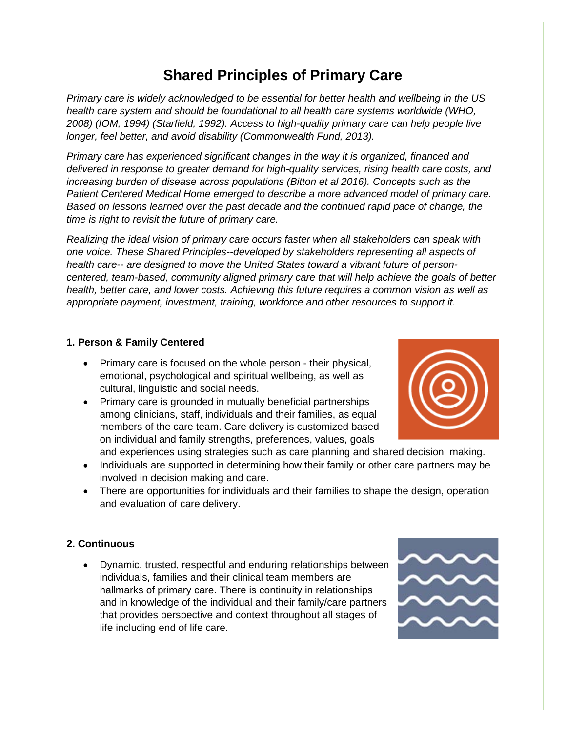# **Shared Principles of Primary Care**

*Primary care is widely acknowledged to be essential for better health and wellbeing in the US health care system and should be foundational to all health care systems worldwide (WHO, 2008) (IOM, 1994) (Starfield, 1992). Access to high-quality primary care can help people live longer, feel better, and avoid disability (Commonwealth Fund, 2013).*

*Primary care has experienced significant changes in the way it is organized, financed and delivered in response to greater demand for high-quality services, rising health care costs, and increasing burden of disease across populations (Bitton et al 2016). Concepts such as the Patient Centered Medical Home emerged to describe a more advanced model of primary care. Based on lessons learned over the past decade and the continued rapid pace of change, the time is right to revisit the future of primary care.*

*Realizing the ideal vision of primary care occurs faster when all stakeholders can speak with one voice. These Shared Principles--developed by stakeholders representing all aspects of health care-- are designed to move the United States toward a vibrant future of personcentered, team-based, community aligned primary care that will help achieve the goals of better health, better care, and lower costs. Achieving this future requires a common vision as well as appropriate payment, investment, training, workforce and other resources to support it.*

#### **1. Person & Family Centered**

- Primary care is focused on the whole person their physical, emotional, psychological and spiritual wellbeing, as well as cultural, linguistic and social needs.
- Primary care is grounded in mutually beneficial partnerships among clinicians, staff, individuals and their families, as equal members of the care team. Care delivery is customized based on individual and family strengths, preferences, values, goals



and experiences using strategies such as care planning and shared decision making. • Individuals are supported in determining how their family or other care partners may be involved in decision making and care.

• There are opportunities for individuals and their families to shape the design, operation and evaluation of care delivery.

# **2. Continuous**

• Dynamic, trusted, respectful and enduring relationships between individuals, families and their clinical team members are hallmarks of primary care. There is continuity in relationships and in knowledge of the individual and their family/care partners that provides perspective and context throughout all stages of life including end of life care.

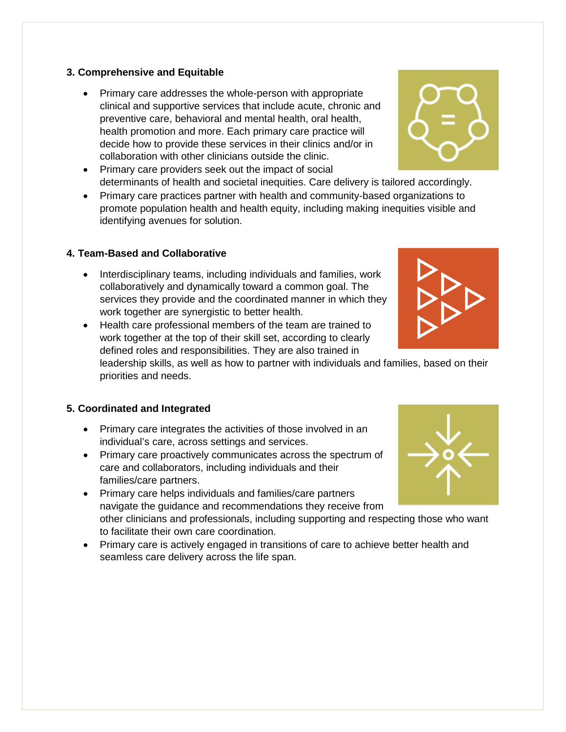#### **3. Comprehensive and Equitable**

- Primary care addresses the whole-person with appropriate clinical and supportive services that include acute, chronic and preventive care, behavioral and mental health, oral health, health promotion and more. Each primary care practice will decide how to provide these services in their clinics and/or in collaboration with other clinicians outside the clinic.
- Primary care providers seek out the impact of social determinants of health and societal inequities. Care delivery is tailored accordingly.
- Primary care practices partner with health and community-based organizations to promote population health and health equity, including making inequities visible and identifying avenues for solution.

#### **4. Team-Based and Collaborative**

- Interdisciplinary teams, including individuals and families, work collaboratively and dynamically toward a common goal. The services they provide and the coordinated manner in which they work together are synergistic to better health.
- Health care professional members of the team are trained to work together at the top of their skill set, according to clearly defined roles and responsibilities. They are also trained in

leadership skills, as well as how to partner with individuals and families, based on their priorities and needs.

#### **5. Coordinated and Integrated**

- Primary care integrates the activities of those involved in an individual's care, across settings and services.
- Primary care proactively communicates across the spectrum of care and collaborators, including individuals and their families/care partners.
- Primary care helps individuals and families/care partners navigate the guidance and recommendations they receive from other clinicians and professionals, including supporting and respecting those who want to facilitate their own care coordination.
- Primary care is actively engaged in transitions of care to achieve better health and seamless care delivery across the life span.